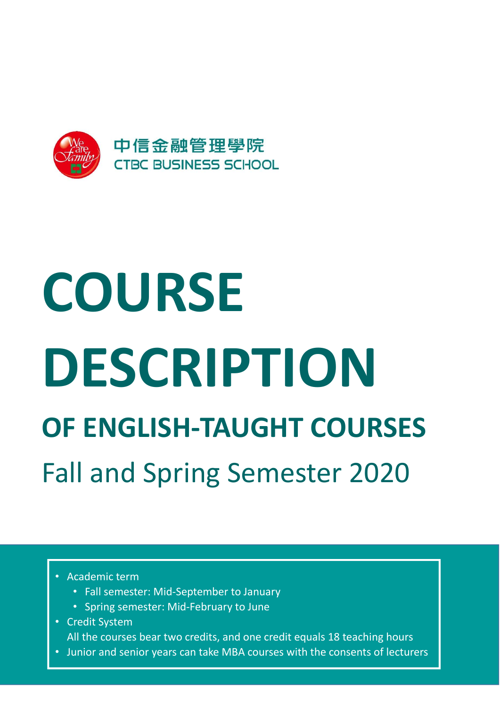

# COURSE DESCRIPTION OF ENGLISH-TAUGHT COURSES Fall and Spring Semester 2020

- Academic term
	- Fall semester: Mid-September to January
	- Spring semester: Mid-February to June
- Credit System

All the courses bear two credits, and one credit equals 18 teaching hours

• Junior and senior years can take MBA courses with the consents of lecturers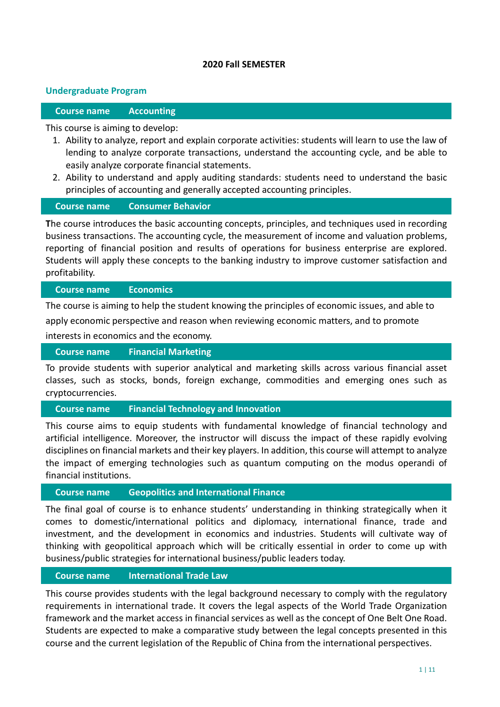#### 2020 Fall SEMESTER

#### Undergraduate Program

#### Course name Accounting

#### This course is aiming to develop:

- 1. Ability to analyze, report and explain corporate activities: students will learn to use the law of lending to analyze corporate transactions, understand the accounting cycle, and be able to easily analyze corporate financial statements.
- 2. Ability to understand and apply auditing standards: students need to understand the basic principles of accounting and generally accepted accounting principles.

#### Course name Consumer Behavior

The course introduces the basic accounting concepts, principles, and techniques used in recording business transactions. The accounting cycle, the measurement of income and valuation problems, reporting of financial position and results of operations for business enterprise are explored. Students will apply these concepts to the banking industry to improve customer satisfaction and profitability.

#### Course name Economics

The course is aiming to help the student knowing the principles of economic issues, and able to apply economic perspective and reason when reviewing economic matters, and to promote

interests in economics and the economy.

#### Course name Financial Marketing

To provide students with superior analytical and marketing skills across various financial asset classes, such as stocks, bonds, foreign exchange, commodities and emerging ones such as cryptocurrencies.

#### Course name Financial Technology and Innovation

This course aims to equip students with fundamental knowledge of financial technology and artificial intelligence. Moreover, the instructor will discuss the impact of these rapidly evolving disciplines on financial markets and their key players. In addition, this course will attempt to analyze the impact of emerging technologies such as quantum computing on the modus operandi of financial institutions.

#### Course name Geopolitics and International Finance

The final goal of course is to enhance students' understanding in thinking strategically when it comes to domestic/international politics and diplomacy, international finance, trade and investment, and the development in economics and industries. Students will cultivate way of thinking with geopolitical approach which will be critically essential in order to come up with business/public strategies for international business/public leaders today.

#### Course name International Trade Law

This course provides students with the legal background necessary to comply with the regulatory requirements in international trade. It covers the legal aspects of the World Trade Organization framework and the market access in financial services as well as the concept of One Belt One Road. Students are expected to make a comparative study between the legal concepts presented in this course and the current legislation of the Republic of China from the international perspectives.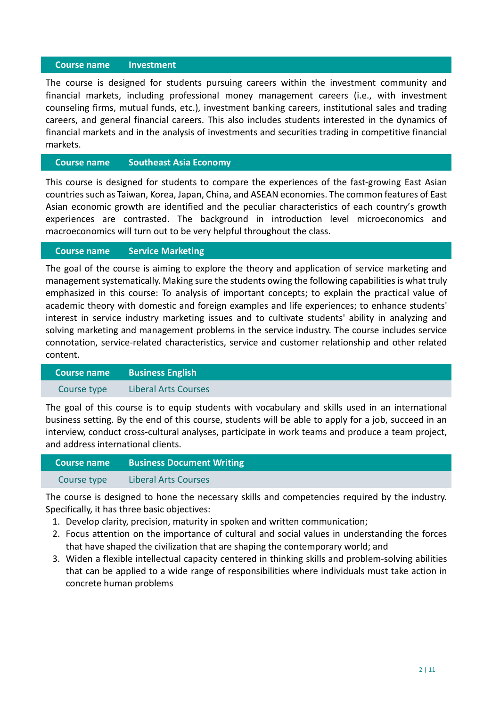#### Course name Investment

The course is designed for students pursuing careers within the investment community and financial markets, including professional money management careers (i.e., with investment counseling firms, mutual funds, etc.), investment banking careers, institutional sales and trading careers, and general financial careers. This also includes students interested in the dynamics of financial markets and in the analysis of investments and securities trading in competitive financial markets.

#### Course name Southeast Asia Economy

This course is designed for students to compare the experiences of the fast-growing East Asian countries such as Taiwan, Korea, Japan, China, and ASEAN economies. The common features of East Asian economic growth are identified and the peculiar characteristics of each country's growth experiences are contrasted. The background in introduction level microeconomics and macroeconomics will turn out to be very helpful throughout the class.

#### Course name Service Marketing

The goal of the course is aiming to explore the theory and application of service marketing and management systematically. Making sure the students owing the following capabilities is what truly emphasized in this course: To analysis of important concepts; to explain the practical value of academic theory with domestic and foreign examples and life experiences; to enhance students' interest in service industry marketing issues and to cultivate students' ability in analyzing and solving marketing and management problems in the service industry. The course includes service connotation, service-related characteristics, service and customer relationship and other related content.

| <b>Course name</b> | <b>Business English</b> |
|--------------------|-------------------------|
| Course type        | Liberal Arts Courses    |

The goal of this course is to equip students with vocabulary and skills used in an international business setting. By the end of this course, students will be able to apply for a job, succeed in an interview, conduct cross-cultural analyses, participate in work teams and produce a team project, and address international clients.

| <b>LCourse name \</b> | <b>Business Document Writing</b> |
|-----------------------|----------------------------------|
| Course type           | <b>Liberal Arts Courses</b>      |

The course is designed to hone the necessary skills and competencies required by the industry. Specifically, it has three basic objectives:

- 1. Develop clarity, precision, maturity in spoken and written communication;
- 2. Focus attention on the importance of cultural and social values in understanding the forces that have shaped the civilization that are shaping the contemporary world; and
- 3. Widen a flexible intellectual capacity centered in thinking skills and problem-solving abilities that can be applied to a wide range of responsibilities where individuals must take action in concrete human problems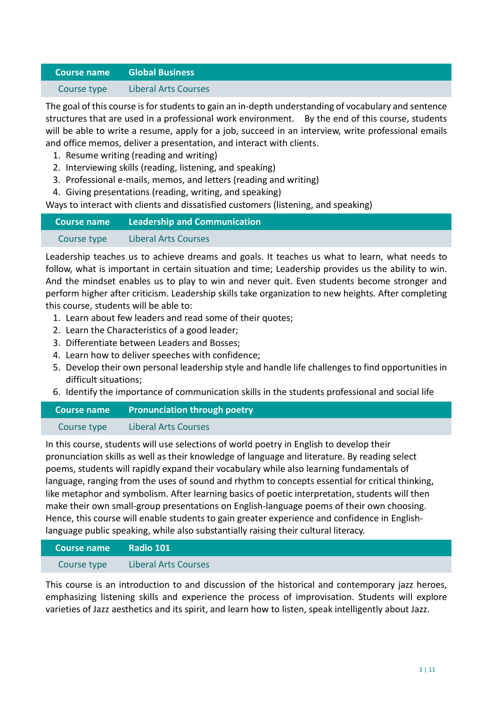#### Course name Global Business

#### Course type Liberal Arts Courses

The goal of this course is for students to gain an in-depth understanding of vocabulary and sentence structures that are used in a professional work environment. By the end of this course, students will be able to write a resume, apply for a job, succeed in an interview, write professional emails and office memos, deliver a presentation, and interact with clients.

- 1. Resume writing (reading and writing)
- 2. Interviewing skills (reading, listening, and speaking)
- 3. Professional e-mails, memos, and letters (reading and writing)
- 4. Giving presentations (reading, writing, and speaking)

Ways to interact with clients and dissatisfied customers (listening, and speaking)

| Course name | <b>Leadership and Communication</b> |
|-------------|-------------------------------------|
| Course type | <b>Liberal Arts Courses</b>         |

Leadership teaches us to achieve dreams and goals. It teaches us what to learn, what needs to follow, what is important in certain situation and time; Leadership provides us the ability to win. And the mindset enables us to play to win and never quit. Even students become stronger and perform higher after criticism. Leadership skills take organization to new heights. After completing this course, students will be able to:

- 1. Learn about few leaders and read some of their quotes;
- 2. Learn the Characteristics of a good leader;
- 3. Differentiate between Leaders and Bosses;
- 4. Learn how to deliver speeches with confidence;
- 5. Develop their own personal leadership style and handle life challenges to find opportunities in difficult situations;
- 6. Identify the importance of communication skills in the students professional and social life

| Course name | <b>Pronunciation through poetry</b> |
|-------------|-------------------------------------|
| Course type | <b>Liberal Arts Courses</b>         |

In this course, students will use selections of world poetry in English to develop their pronunciation skills as well as their knowledge of language and literature. By reading select poems, students will rapidly expand their vocabulary while also learning fundamentals of language, ranging from the uses of sound and rhythm to concepts essential for critical thinking, like metaphor and symbolism. After learning basics of poetic interpretation, students will then make their own small-group presentations on English-language poems of their own choosing. Hence, this course will enable students to gain greater experience and confidence in Englishlanguage public speaking, while also substantially raising their cultural literacy.

| Course name | Radio 101 $^{\circ}$        |
|-------------|-----------------------------|
| Course type | <b>Liberal Arts Courses</b> |

This course is an introduction to and discussion of the historical and contemporary jazz heroes, emphasizing listening skills and experience the process of improvisation. Students will explore varieties of Jazz aesthetics and its spirit, and learn how to listen, speak intelligently about Jazz.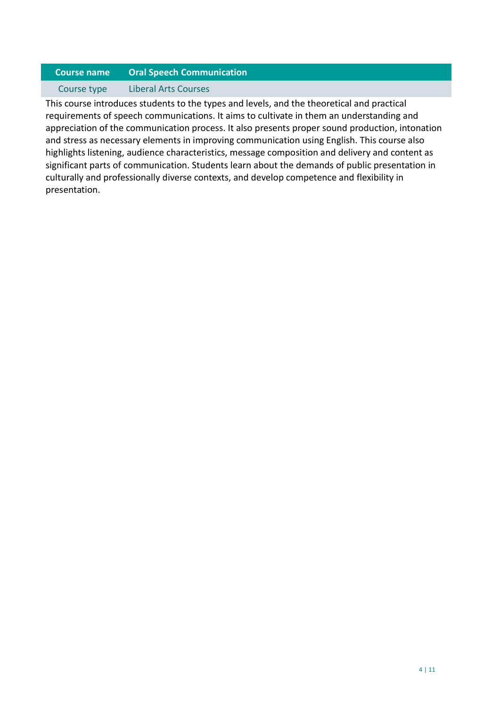# Course name Oral Speech Communication

#### Course type Liberal Arts Courses

This course introduces students to the types and levels, and the theoretical and practical requirements of speech communications. It aims to cultivate in them an understanding and appreciation of the communication process. It also presents proper sound production, intonation and stress as necessary elements in improving communication using English. This course also highlights listening, audience characteristics, message composition and delivery and content as significant parts of communication. Students learn about the demands of public presentation in culturally and professionally diverse contexts, and develop competence and flexibility in presentation.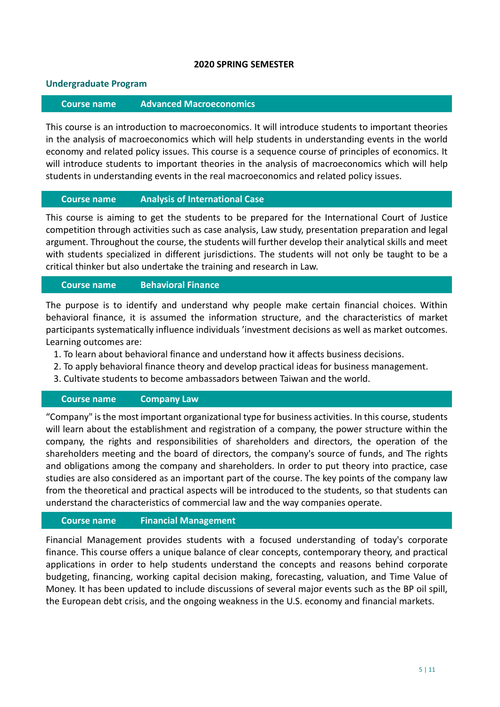#### 2020 SPRING SEMESTER

#### Undergraduate Program

#### Course name Advanced Macroeconomics

This course is an introduction to macroeconomics. It will introduce students to important theories in the analysis of macroeconomics which will help students in understanding events in the world economy and related policy issues. This course is a sequence course of principles of economics. It will introduce students to important theories in the analysis of macroeconomics which will help students in understanding events in the real macroeconomics and related policy issues.

#### Course name Analysis of International Case

This course is aiming to get the students to be prepared for the International Court of Justice competition through activities such as case analysis, Law study, presentation preparation and legal argument. Throughout the course, the students will further develop their analytical skills and meet with students specialized in different jurisdictions. The students will not only be taught to be a critical thinker but also undertake the training and research in Law.

#### Course name Behavioral Finance

The purpose is to identify and understand why people make certain financial choices. Within behavioral finance, it is assumed the information structure, and the characteristics of market participants systematically influence individuals 'investment decisions as well as market outcomes. Learning outcomes are:

- 1. To learn about behavioral finance and understand how it affects business decisions.
- 2. To apply behavioral finance theory and develop practical ideas for business management.
- 3. Cultivate students to become ambassadors between Taiwan and the world.

#### Course name Company Law

"Company" is the most important organizational type for business activities. In this course, students will learn about the establishment and registration of a company, the power structure within the company, the rights and responsibilities of shareholders and directors, the operation of the shareholders meeting and the board of directors, the company's source of funds, and The rights and obligations among the company and shareholders. In order to put theory into practice, case studies are also considered as an important part of the course. The key points of the company law from the theoretical and practical aspects will be introduced to the students, so that students can understand the characteristics of commercial law and the way companies operate.

#### Course name Financial Management

Financial Management provides students with a focused understanding of today's corporate finance. This course offers a unique balance of clear concepts, contemporary theory, and practical applications in order to help students understand the concepts and reasons behind corporate budgeting, financing, working capital decision making, forecasting, valuation, and Time Value of Money. It has been updated to include discussions of several major events such as the BP oil spill, the European debt crisis, and the ongoing weakness in the U.S. economy and financial markets.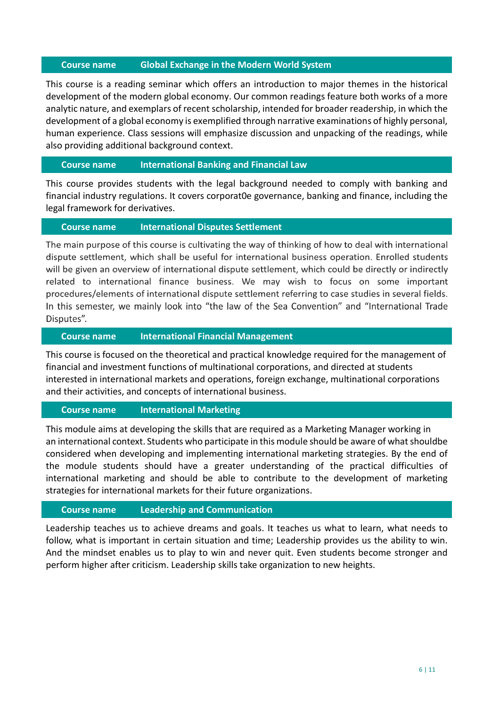#### Course name Global Exchange in the Modern World System

This course is a reading seminar which offers an introduction to major themes in the historical development of the modern global economy. Our common readings feature both works of a more analytic nature, and exemplars of recent scholarship, intended for broader readership, in which the development of a global economy is exemplified through narrative examinations of highly personal, human experience. Class sessions will emphasize discussion and unpacking of the readings, while also providing additional background context.

#### Course name International Banking and Financial Law

This course provides students with the legal background needed to comply with banking and financial industry regulations. It covers corporat0e governance, banking and finance, including the legal framework for derivatives.

#### Course name International Disputes Settlement

The main purpose of this course is cultivating the way of thinking of how to deal with international dispute settlement, which shall be useful for international business operation. Enrolled students will be given an overview of international dispute settlement, which could be directly or indirectly related to international finance business. We may wish to focus on some important procedures/elements of international dispute settlement referring to case studies in several fields. In this semester, we mainly look into "the law of the Sea Convention" and "International Trade Disputes".

#### Course name International Financial Management

This course is focused on the theoretical and practical knowledge required for the management of financial and investment functions of multinational corporations, and directed at students interested in international markets and operations, foreign exchange, multinational corporations and their activities, and concepts of international business.

#### Course name International Marketing

This module aims at developing the skills that are required as a Marketing Manager working in an international context. Students who participate in this module should be aware of what shouldbe considered when developing and implementing international marketing strategies. By the end of the module students should have a greater understanding of the practical difficulties of international marketing and should be able to contribute to the development of marketing strategies for international markets for their future organizations.

#### Course name Leadership and Communication

Leadership teaches us to achieve dreams and goals. It teaches us what to learn, what needs to follow, what is important in certain situation and time; Leadership provides us the ability to win. And the mindset enables us to play to win and never quit. Even students become stronger and perform higher after criticism. Leadership skills take organization to new heights.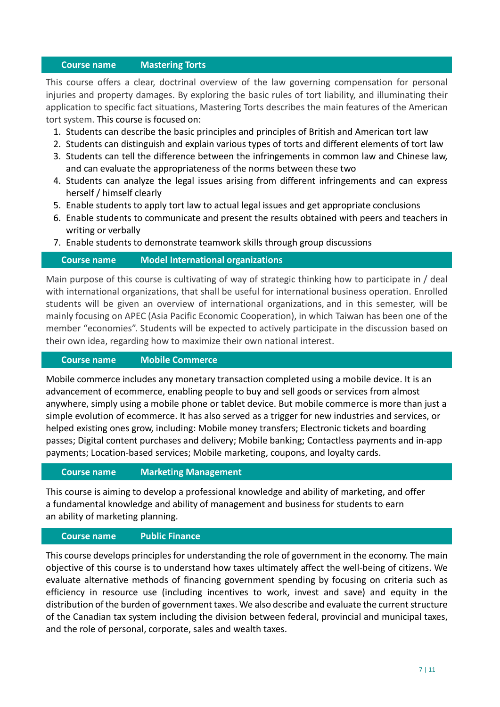#### Course name Mastering Torts

This course offers a clear, doctrinal overview of the law governing compensation for personal injuries and property damages. By exploring the basic rules of tort liability, and illuminating their application to specific fact situations, Mastering Torts describes the main features of the American tort system. This course is focused on:

- 1. Students can describe the basic principles and principles of British and American tort law
- 2. Students can distinguish and explain various types of torts and different elements of tort law
- 3. Students can tell the difference between the infringements in common law and Chinese law, and can evaluate the appropriateness of the norms between these two
- 4. Students can analyze the legal issues arising from different infringements and can express herself / himself clearly
- 5. Enable students to apply tort law to actual legal issues and get appropriate conclusions
- 6. Enable students to communicate and present the results obtained with peers and teachers in writing or verbally
- 7. Enable students to demonstrate teamwork skills through group discussions

#### Course name Model International organizations

Main purpose of this course is cultivating of way of strategic thinking how to participate in / deal with international organizations, that shall be useful for international business operation. Enrolled students will be given an overview of international organizations, and in this semester, will be mainly focusing on APEC (Asia Pacific Economic Cooperation), in which Taiwan has been one of the member "economies". Students will be expected to actively participate in the discussion based on their own idea, regarding how to maximize their own national interest.

#### Course name Mobile Commerce

Mobile commerce includes any monetary transaction completed using a mobile device. It is an advancement of ecommerce, enabling people to buy and sell goods or services from almost anywhere, simply using a mobile phone or tablet device. But mobile commerce is more than just a simple evolution of ecommerce. It has also served as a trigger for new industries and services, or helped existing ones grow, including: Mobile money transfers; Electronic tickets and boarding passes; Digital content purchases and delivery; Mobile banking; Contactless payments and in-app payments; Location-based services; Mobile marketing, coupons, and loyalty cards.

#### Course name Marketing Management

This course is aiming to develop a professional knowledge and ability of marketing, and offer a fundamental knowledge and ability of management and business for students to earn an ability of marketing planning.

#### Course name Public Finance

This course develops principles for understanding the role of government in the economy. The main objective of this course is to understand how taxes ultimately affect the well-being of citizens. We evaluate alternative methods of financing government spending by focusing on criteria such as efficiency in resource use (including incentives to work, invest and save) and equity in the distribution of the burden of government taxes. We also describe and evaluate the current structure of the Canadian tax system including the division between federal, provincial and municipal taxes, and the role of personal, corporate, sales and wealth taxes.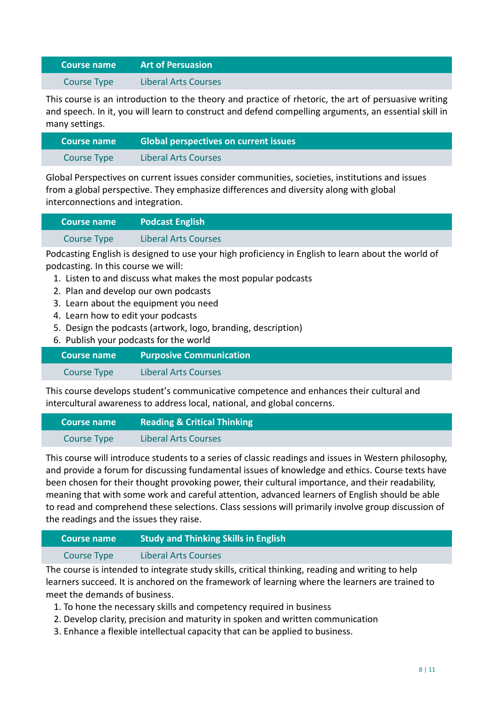# Course name Art of Persuasion

Course Type Liberal Arts Courses

This course is an introduction to the theory and practice of rhetoric, the art of persuasive writing and speech. In it, you will learn to construct and defend compelling arguments, an essential skill in many settings.

| <b>Course name</b> | <b>Global perspectives on current issues</b> |
|--------------------|----------------------------------------------|
| Course Type        | <b>Liberal Arts Courses</b>                  |

Global Perspectives on current issues consider communities, societies, institutions and issues from a global perspective. They emphasize differences and diversity along with global interconnections and integration.

| L Course name '    | <b>Podcast English</b>      |
|--------------------|-----------------------------|
| <b>Course Type</b> | <b>Liberal Arts Courses</b> |

Podcasting English is designed to use your high proficiency in English to learn about the world of podcasting. In this course we will:

- 1. Listen to and discuss what makes the most popular podcasts
- 2. Plan and develop our own podcasts
- 3. Learn about the equipment you need
- 4. Learn how to edit your podcasts
- 5. Design the podcasts (artwork, logo, branding, description)
- 6. Publish your podcasts for the world

| Course name | <b>Purposive Communication</b> |
|-------------|--------------------------------|
| Course Type | <b>Liberal Arts Courses</b>    |

This course develops student's communicative competence and enhances their cultural and intercultural awareness to address local, national, and global concerns.

| Course name | <b>Reading &amp; Critical Thinking</b> |
|-------------|----------------------------------------|
| Course Type | <b>Liberal Arts Courses</b>            |

This course will introduce students to a series of classic readings and issues in Western philosophy, and provide a forum for discussing fundamental issues of knowledge and ethics. Course texts have been chosen for their thought provoking power, their cultural importance, and their readability, meaning that with some work and careful attention, advanced learners of English should be able to read and comprehend these selections. Class sessions will primarily involve group discussion of the readings and the issues they raise.

| <b>LCourse name \</b> | <b>Study and Thinking Skills in English</b> |
|-----------------------|---------------------------------------------|
| Course Type           | <b>Liberal Arts Courses</b>                 |

The course is intended to integrate study skills, critical thinking, reading and writing to help learners succeed. It is anchored on the framework of learning where the learners are trained to meet the demands of business.

- 1. To hone the necessary skills and competency required in business
- 2. Develop clarity, precision and maturity in spoken and written communication
- 3. Enhance a flexible intellectual capacity that can be applied to business.